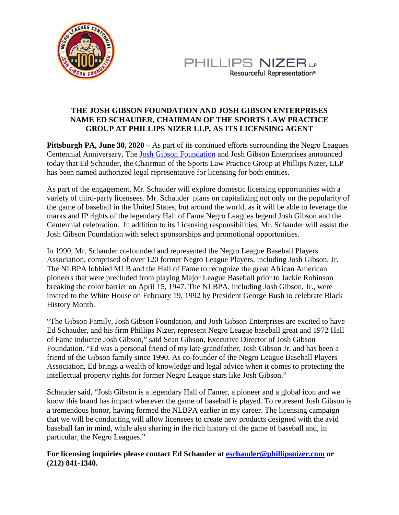



## **THE JOSH GIBSON FOUNDATION AND JOSH GIBSON ENTERPRISES NAME ED SCHAUDER, CHAIRMAN OF THE SPORTS LAW PRACTICE GROUP AT PHILLIPS NIZER LLP, AS ITS LICENSING AGENT**

**Pittsburgh PA, June 30, 2020** – As part of its continued efforts surrounding the Negro Leagues Centennial Anniversary, The [Josh Gibson Foundation](https://www.joshgibson.org/) and Josh Gibson Enterprises announced today that Ed Schauder, the Chairman of the Sports Law Practice Group at Phillips Nizer, LLP has been named authorized legal representative for licensing for both entities.

As part of the engagement, Mr. Schauder will explore domestic licensing opportunities with a variety of third-party licensees. Mr. Schauder plans on capitalizing not only on the popularity of the game of baseball in the United States, but around the world, as it will be able to leverage the marks and IP rights of the legendary Hall of Fame Negro Leagues legend Josh Gibson and the Centennial celebration. In addition to its Licensing responsibilities, Mr. Schauder will assist the Josh Gibson Foundation with select sponsorships and promotional opportunities.

In 1990, Mr. Schauder co-founded and represented the Negro League Baseball Players Association, comprised of over 120 former Negro League Players, including Josh Gibson, Jr. The NLBPA lobbied MLB and the Hall of Fame to recognize the great African American pioneers that were precluded from playing Major League Baseball prior to Jackie Robinson breaking the color barrier on April 15, 1947. The NLBPA, including Josh Gibson, Jr., were invited to the White House on February 19, 1992 by President George Bush to celebrate Black History Month.

"The Gibson Family, Josh Gibson Foundation, and Josh Gibson Enterprises are excited to have Ed Schauder, and his firm Phillips Nizer, represent Negro League baseball great and 1972 Hall of Fame inductee Josh Gibson," said Sean Gibson, Executive Director of Josh Gibson Foundation. "Ed was a personal friend of my late grandfather, Josh Gibson Jr. and has been a friend of the Gibson family since 1990. As co-founder of the Negro League Baseball Players Association, Ed brings a wealth of knowledge and legal advice when it comes to protecting the intellectual property rights for former Negro League stars like Josh Gibson."

Schauder said, "Josh Gibson is a legendary Hall of Famer, a pioneer and a global icon and we know this brand has impact wherever the game of baseball is played. To represent Josh Gibson is a tremendous honor, having formed the NLBPA earlier in my career. The licensing campaign that we will be conducting will allow licensees to create new products designed with the avid baseball fan in mind, while also sharing in the rich history of the game of baseball and, in particular, the Negro Leagues."

**For licensing inquiries please contact Ed Schauder a[t eschauder@phillipsnizer.com](javascript:void(0);) or (212) 841-1340.**